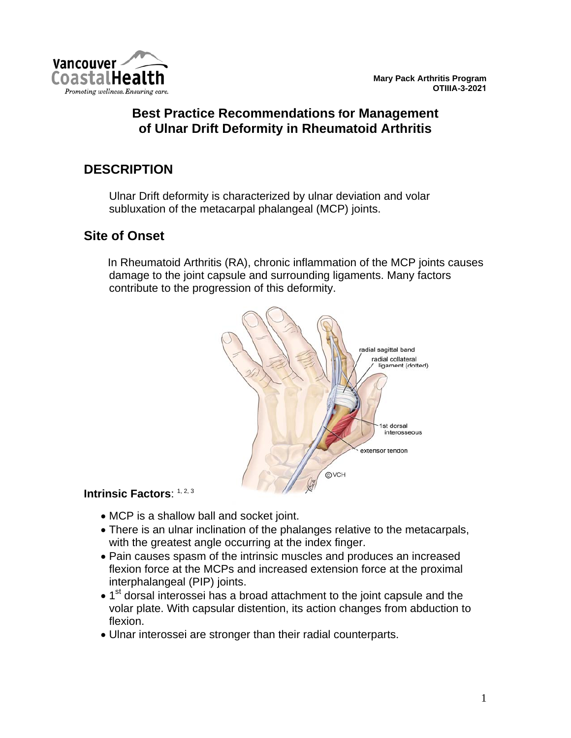

**Mary Pack Arthritis Program OTIIIA-3-2021**

### **Best Practice Recommendations for Management of Ulnar Drift Deformity in Rheumatoid Arthritis**

### **DESCRIPTION**

Ulnar Drift deformity is characterized by ulnar deviation and volar subluxation of the metacarpal phalangeal (MCP) joints.

### **Site of Onset**

 In Rheumatoid Arthritis (RA), chronic inflammation of the MCP joints causes damage to the joint capsule and surrounding ligaments. Many factors contribute to the progression of this deformity.



#### **Intrinsic Factors**: 1, 2, 3

- MCP is a shallow ball and socket joint.
- There is an ulnar inclination of the phalanges relative to the metacarpals, with the greatest angle occurring at the index finger.
- Pain causes spasm of the intrinsic muscles and produces an increased flexion force at the MCPs and increased extension force at the proximal interphalangeal (PIP) joints.
- 1<sup>st</sup> dorsal interossei has a broad attachment to the joint capsule and the volar plate. With capsular distention, its action changes from abduction to flexion.
- Ulnar interossei are stronger than their radial counterparts.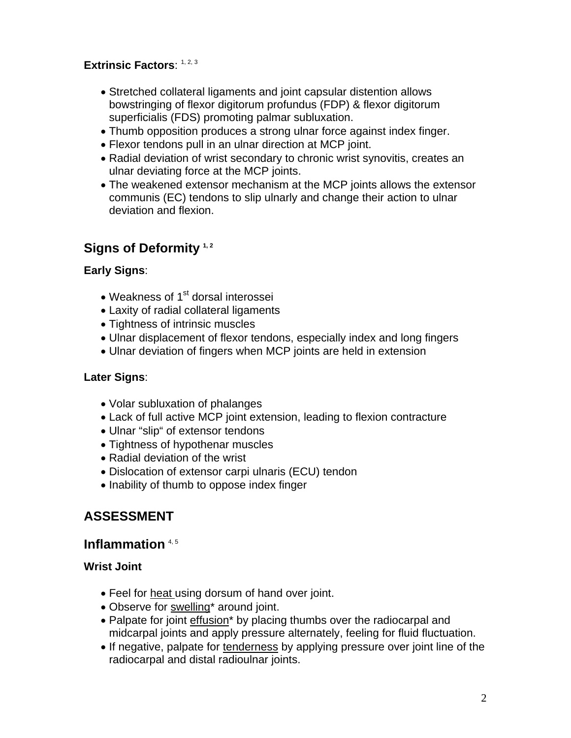### **Extrinsic Factors**: 1, 2, 3

- Stretched collateral ligaments and joint capsular distention allows bowstringing of flexor digitorum profundus (FDP) & flexor digitorum superficialis (FDS) promoting palmar subluxation.
- Thumb opposition produces a strong ulnar force against index finger.
- Flexor tendons pull in an ulnar direction at MCP joint.
- Radial deviation of wrist secondary to chronic wrist synovitis, creates an ulnar deviating force at the MCP joints.
- The weakened extensor mechanism at the MCP joints allows the extensor communis (EC) tendons to slip ulnarly and change their action to ulnar deviation and flexion.

### Signs of Deformity<sup>1,2</sup>

#### **Early Signs**:

- Weakness of  $1<sup>st</sup>$  dorsal interossei
- Laxity of radial collateral ligaments
- Tightness of intrinsic muscles
- Ulnar displacement of flexor tendons, especially index and long fingers
- Ulnar deviation of fingers when MCP joints are held in extension

#### **Later Signs**:

- Volar subluxation of phalanges
- Lack of full active MCP joint extension, leading to flexion contracture
- Ulnar "slip" of extensor tendons
- Tightness of hypothenar muscles
- Radial deviation of the wrist
- Dislocation of extensor carpi ulnaris (ECU) tendon
- Inability of thumb to oppose index finger

## **ASSESSMENT**

### **Inflammation** 4, 5

### **Wrist Joint**

- Feel for heat using dorsum of hand over joint.
- Observe for swelling\* around joint.
- Palpate for joint effusion\* by placing thumbs over the radiocarpal and midcarpal joints and apply pressure alternately, feeling for fluid fluctuation.
- If negative, palpate for tenderness by applying pressure over joint line of the radiocarpal and distal radioulnar joints.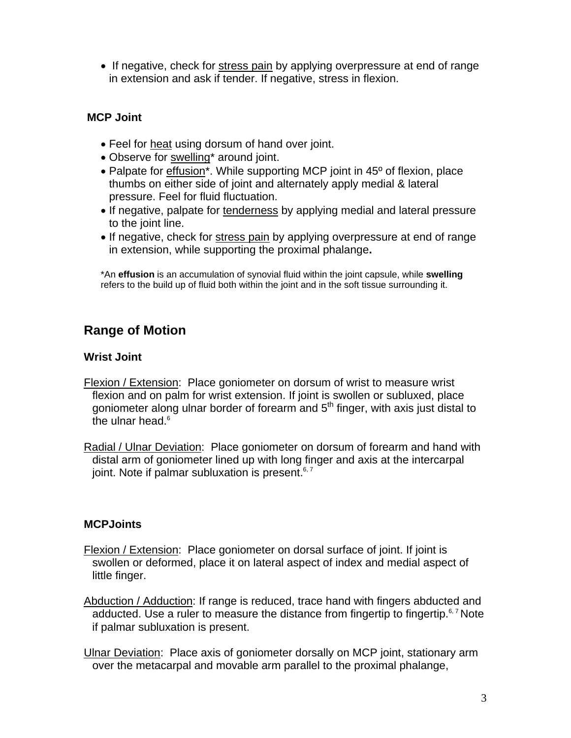• If negative, check for stress pain by applying overpressure at end of range in extension and ask if tender. If negative, stress in flexion.

#### **MCP Joint**

- Feel for heat using dorsum of hand over joint.
- Observe for swelling\* around joint.
- Palpate for effusion<sup>\*</sup>. While supporting MCP joint in 45<sup>o</sup> of flexion, place thumbs on either side of joint and alternately apply medial & lateral pressure. Feel for fluid fluctuation.
- If negative, palpate for tenderness by applying medial and lateral pressure to the joint line.
- If negative, check for stress pain by applying overpressure at end of range in extension, while supporting the proximal phalange**.**

\*An **effusion** is an accumulation of synovial fluid within the joint capsule, while **swelling** refers to the build up of fluid both within the joint and in the soft tissue surrounding it.

### **Range of Motion**

#### **Wrist Joint**

- Flexion / Extension: Place goniometer on dorsum of wrist to measure wrist flexion and on palm for wrist extension. If joint is swollen or subluxed, place goniometer along ulnar border of forearm and  $5<sup>th</sup>$  finger, with axis just distal to the ulnar head. $6$
- Radial / Ulnar Deviation: Place goniometer on dorsum of forearm and hand with distal arm of goniometer lined up with long finger and axis at the intercarpal joint. Note if palmar subluxation is present. $6, 7$

#### **MCPJoints**

- Flexion / Extension: Place goniometer on dorsal surface of joint. If joint is swollen or deformed, place it on lateral aspect of index and medial aspect of little finger.
- Abduction / Adduction: If range is reduced, trace hand with fingers abducted and adducted. Use a ruler to measure the distance from fingertip to fingertip.<sup>6,7</sup> Note if palmar subluxation is present.

Ulnar Deviation: Place axis of goniometer dorsally on MCP joint, stationary arm over the metacarpal and movable arm parallel to the proximal phalange,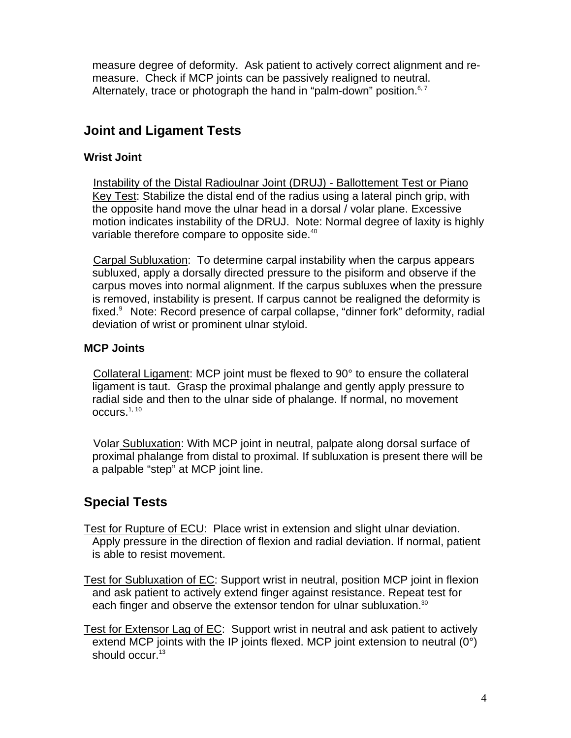measure degree of deformity. Ask patient to actively correct alignment and remeasure. Check if MCP joints can be passively realigned to neutral. Alternately, trace or photograph the hand in "palm-down" position. $6.7$ 

### **Joint and Ligament Tests**

#### **Wrist Joint**

 Instability of the Distal Radioulnar Joint (DRUJ) - Ballottement Test or Piano Key Test: Stabilize the distal end of the radius using a lateral pinch grip, with the opposite hand move the ulnar head in a dorsal / volar plane. Excessive motion indicates instability of the DRUJ. Note: Normal degree of laxity is highly variable therefore compare to opposite side.<sup>40</sup>

 Carpal Subluxation: To determine carpal instability when the carpus appears subluxed, apply a dorsally directed pressure to the pisiform and observe if the carpus moves into normal alignment. If the carpus subluxes when the pressure is removed, instability is present. If carpus cannot be realigned the deformity is fixed.9 Note: Record presence of carpal collapse, "dinner fork" deformity, radial deviation of wrist or prominent ulnar styloid.

#### **MCP Joints**

 Collateral Ligament: MCP joint must be flexed to 90° to ensure the collateral ligament is taut. Grasp the proximal phalange and gently apply pressure to radial side and then to the ulnar side of phalange. If normal, no movement occurs. $1, 10$ 

 Volar Subluxation: With MCP joint in neutral, palpate along dorsal surface of proximal phalange from distal to proximal. If subluxation is present there will be a palpable "step" at MCP joint line.

## **Special Tests**

Test for Rupture of ECU: Place wrist in extension and slight ulnar deviation. Apply pressure in the direction of flexion and radial deviation. If normal, patient is able to resist movement.

- Test for Subluxation of EC: Support wrist in neutral, position MCP joint in flexion and ask patient to actively extend finger against resistance. Repeat test for each finger and observe the extensor tendon for ulnar subluxation.<sup>30</sup>
- Test for Extensor Lag of EC: Support wrist in neutral and ask patient to actively extend MCP joints with the IP joints flexed. MCP joint extension to neutral (0°) should occur.<sup>13</sup>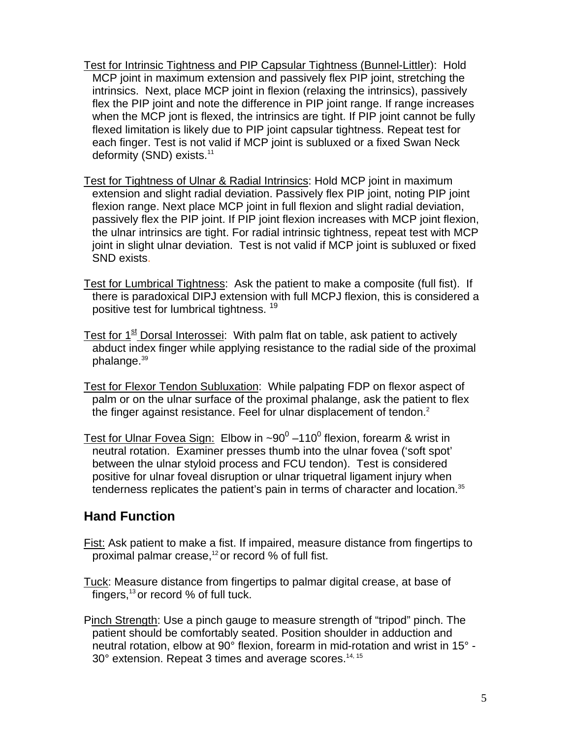- Test for Intrinsic Tightness and PIP Capsular Tightness (Bunnel-Littler): Hold MCP joint in maximum extension and passively flex PIP joint, stretching the intrinsics. Next, place MCP joint in flexion (relaxing the intrinsics), passively flex the PIP joint and note the difference in PIP joint range. If range increases when the MCP jont is flexed, the intrinsics are tight. If PIP joint cannot be fully flexed limitation is likely due to PIP joint capsular tightness. Repeat test for each finger. Test is not valid if MCP joint is subluxed or a fixed Swan Neck deformity (SND) exists.<sup>11</sup>
- Test for Tightness of Ulnar & Radial Intrinsics: Hold MCP joint in maximum extension and slight radial deviation. Passively flex PIP joint, noting PIP joint flexion range. Next place MCP joint in full flexion and slight radial deviation, passively flex the PIP joint. If PIP joint flexion increases with MCP joint flexion, the ulnar intrinsics are tight. For radial intrinsic tightness, repeat test with MCP joint in slight ulnar deviation. Test is not valid if MCP joint is subluxed or fixed SND exists.
- Test for Lumbrical Tightness: Ask the patient to make a composite (full fist). If there is paradoxical DIPJ extension with full MCPJ flexion, this is considered a positive test for lumbrical tightness.<sup>19</sup>
- Test for  $1<sup>st</sup>$  Dorsal Interossei: With palm flat on table, ask patient to actively abduct index finger while applying resistance to the radial side of the proximal phalange.<sup>39</sup>
- Test for Flexor Tendon Subluxation: While palpating FDP on flexor aspect of palm or on the ulnar surface of the proximal phalange, ask the patient to flex the finger against resistance. Feel for ulnar displacement of tendon.<sup>2</sup>
- Test for Ulnar Fovea Sign: Elbow in ~90<sup>0</sup> –110<sup>0</sup> flexion, forearm & wrist in neutral rotation. Examiner presses thumb into the ulnar fovea ('soft spot' between the ulnar styloid process and FCU tendon). Test is considered positive for ulnar foveal disruption or ulnar triquetral ligament injury when tenderness replicates the patient's pain in terms of character and location.<sup>35</sup>

### **Hand Function**

- Fist: Ask patient to make a fist. If impaired, measure distance from fingertips to proximal palmar crease, $12$  or record % of full fist.
- Tuck: Measure distance from fingertips to palmar digital crease, at base of fingers, $13$  or record % of full tuck.
- Pinch Strength: Use a pinch gauge to measure strength of "tripod" pinch. The patient should be comfortably seated. Position shoulder in adduction and neutral rotation, elbow at 90° flexion, forearm in mid-rotation and wrist in 15° - 30° extension. Repeat 3 times and average scores.14, 15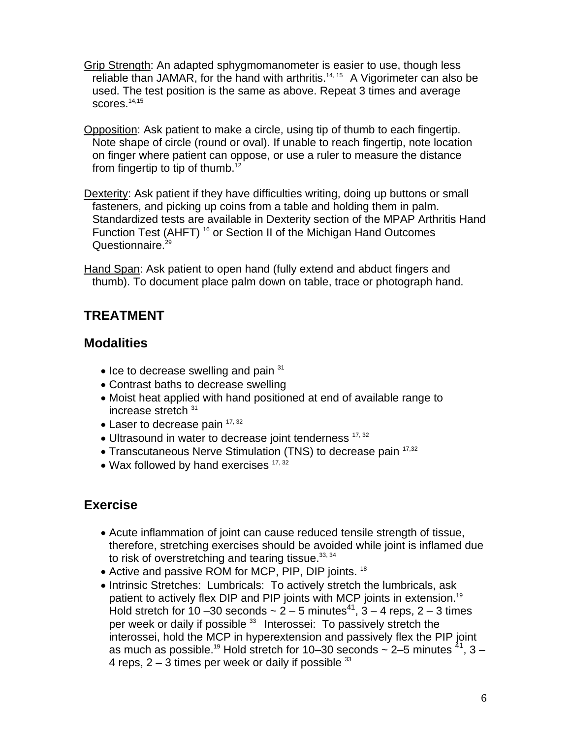- Grip Strength: An adapted sphygmomanometer is easier to use, though less reliable than JAMAR, for the hand with arthritis.<sup>14, 15</sup> A Vigorimeter can also be used. The test position is the same as above. Repeat 3 times and average scores. $14,15$
- Opposition: Ask patient to make a circle, using tip of thumb to each fingertip. Note shape of circle (round or oval). If unable to reach fingertip, note location on finger where patient can oppose, or use a ruler to measure the distance from fingertip to tip of thumb.<sup>12</sup>
- Dexterity: Ask patient if they have difficulties writing, doing up buttons or small fasteners, and picking up coins from a table and holding them in palm. Standardized tests are available in Dexterity section of the MPAP Arthritis Hand Function Test (AHFT)<sup>16</sup> or Section II of the Michigan Hand Outcomes Questionnaire.<sup>29</sup>
- Hand Span: Ask patient to open hand (fully extend and abduct fingers and thumb). To document place palm down on table, trace or photograph hand.

### **TREATMENT**

### **Modalities**

- $\bullet$  Ice to decrease swelling and pain  $31$
- Contrast baths to decrease swelling
- Moist heat applied with hand positioned at end of available range to increase stretch <sup>31</sup>
- Laser to decrease pain  $17, 32$
- Ultrasound in water to decrease joint tenderness  $17,32$
- Transcutaneous Nerve Stimulation (TNS) to decrease pain <sup>17,32</sup>
- Wax followed by hand exercises  $17,32$

### **Exercise**

- Acute inflammation of joint can cause reduced tensile strength of tissue, therefore, stretching exercises should be avoided while joint is inflamed due to risk of overstretching and tearing tissue.  $33, 34$
- Active and passive ROM for MCP, PIP, DIP joints. <sup>18</sup>
- Intrinsic Stretches: Lumbricals: To actively stretch the lumbricals, ask patient to actively flex DIP and PIP joints with MCP joints in extension.<sup>19</sup> Hold stretch for 10 –30 seconds  $\sim 2-5$  minutes<sup>41</sup>,  $3-4$  reps, 2 – 3 times per week or daily if possible <sup>33</sup> Interossei: To passively stretch the interossei, hold the MCP in hyperextension and passively flex the PIP joint as much as possible.<sup>19</sup> Hold stretch for 10–30 seconds  $\sim$  2–5 minutes  $^{41}$ , 3 – 4 reps,  $2 - 3$  times per week or daily if possible  $33$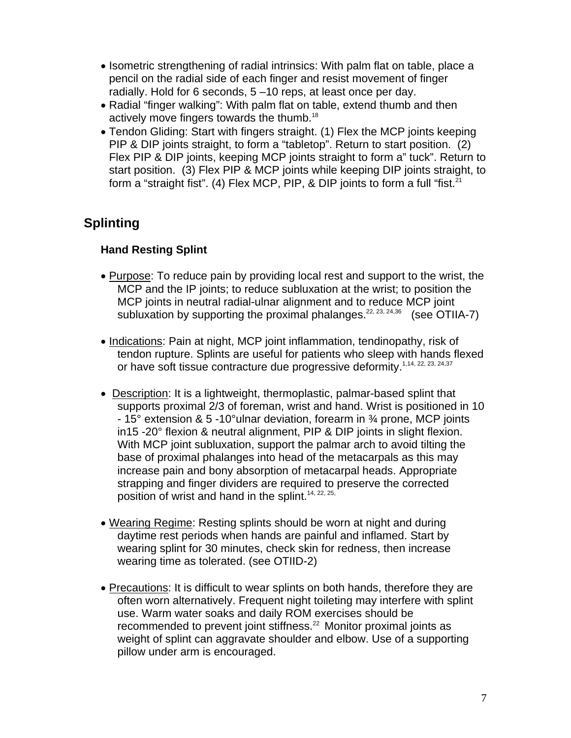- Isometric strengthening of radial intrinsics: With palm flat on table, place a pencil on the radial side of each finger and resist movement of finger radially. Hold for 6 seconds, 5 –10 reps, at least once per day.
- Radial "finger walking": With palm flat on table, extend thumb and then actively move fingers towards the thumb.<sup>18</sup>
- Tendon Gliding: Start with fingers straight. (1) Flex the MCP joints keeping PIP & DIP joints straight, to form a "tabletop". Return to start position. (2) Flex PIP & DIP joints, keeping MCP joints straight to form a" tuck". Return to start position. (3) Flex PIP & MCP joints while keeping DIP joints straight, to form a "straight fist". (4) Flex MCP, PIP, & DIP joints to form a full "fist.<sup>21</sup>

# **Splinting**

### **Hand Resting Splint**

- Purpose: To reduce pain by providing local rest and support to the wrist, the MCP and the IP joints; to reduce subluxation at the wrist; to position the MCP joints in neutral radial-ulnar alignment and to reduce MCP joint subluxation by supporting the proximal phalanges.  $22, 23, 24, 36$  (see OTIIA-7)
- Indications: Pain at night, MCP joint inflammation, tendinopathy, risk of tendon rupture. Splints are useful for patients who sleep with hands flexed or have soft tissue contracture due progressive deformity.<sup>1,14, 22, 23, 24,37</sup>
- Description: It is a lightweight, thermoplastic, palmar-based splint that supports proximal 2/3 of foreman, wrist and hand. Wrist is positioned in 10 - 15° extension & 5 -10°ulnar deviation, forearm in ¾ prone, MCP joints in15 -20° flexion & neutral alignment, PIP & DIP joints in slight flexion. With MCP joint subluxation, support the palmar arch to avoid tilting the base of proximal phalanges into head of the metacarpals as this may increase pain and bony absorption of metacarpal heads. Appropriate strapping and finger dividers are required to preserve the corrected position of wrist and hand in the splint.<sup>14, 22, 25,</sup>
- Wearing Regime: Resting splints should be worn at night and during daytime rest periods when hands are painful and inflamed. Start by wearing splint for 30 minutes, check skin for redness, then increase wearing time as tolerated. (see OTIID-2)
- Precautions: It is difficult to wear splints on both hands, therefore they are often worn alternatively. Frequent night toileting may interfere with splint use. Warm water soaks and daily ROM exercises should be recommended to prevent joint stiffness.<sup>22</sup> Monitor proximal joints as weight of splint can aggravate shoulder and elbow. Use of a supporting pillow under arm is encouraged.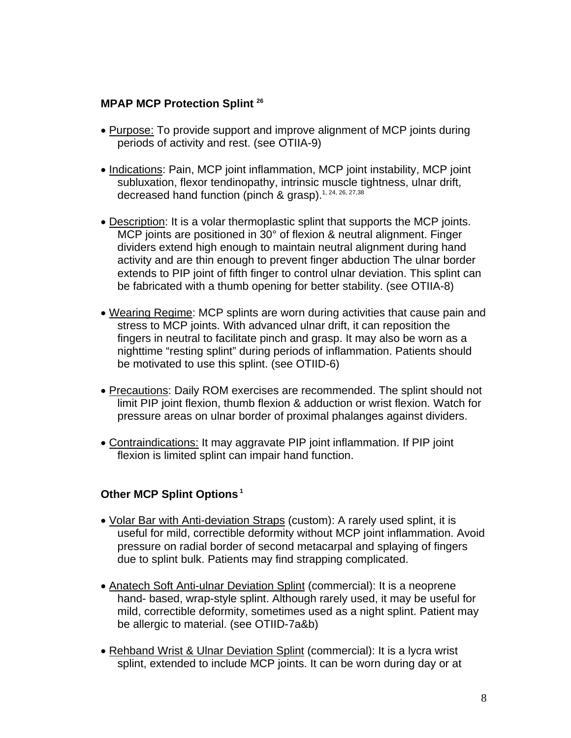#### **MPAP MCP Protection Splint 26**

- Purpose: To provide support and improve alignment of MCP joints during periods of activity and rest. (see OTIIA-9)
- Indications: Pain, MCP joint inflammation, MCP joint instability, MCP joint subluxation, flexor tendinopathy, intrinsic muscle tightness, ulnar drift, decreased hand function (pinch & grasp).<sup>1, 24, 26, 27,38</sup>
- Description: It is a volar thermoplastic splint that supports the MCP joints. MCP joints are positioned in 30° of flexion & neutral alignment. Finger dividers extend high enough to maintain neutral alignment during hand activity and are thin enough to prevent finger abduction The ulnar border extends to PIP joint of fifth finger to control ulnar deviation. This splint can be fabricated with a thumb opening for better stability. (see OTIIA-8)
- Wearing Regime: MCP splints are worn during activities that cause pain and stress to MCP joints. With advanced ulnar drift, it can reposition the fingers in neutral to facilitate pinch and grasp. It may also be worn as a nighttime "resting splint" during periods of inflammation. Patients should be motivated to use this splint. (see OTIID-6)
- Precautions: Daily ROM exercises are recommended. The splint should not limit PIP joint flexion, thumb flexion & adduction or wrist flexion. Watch for pressure areas on ulnar border of proximal phalanges against dividers.
- Contraindications: It may aggravate PIP joint inflammation. If PIP joint flexion is limited splint can impair hand function.

### **Other MCP Splint Options 1**

- Volar Bar with Anti-deviation Straps (custom): A rarely used splint, it is useful for mild, correctible deformity without MCP joint inflammation. Avoid pressure on radial border of second metacarpal and splaying of fingers due to splint bulk. Patients may find strapping complicated.
- Anatech Soft Anti-ulnar Deviation Splint (commercial): It is a neoprene hand- based, wrap-style splint. Although rarely used, it may be useful for mild, correctible deformity, sometimes used as a night splint. Patient may be allergic to material. (see OTIID-7a&b)
- Rehband Wrist & Ulnar Deviation Splint (commercial): It is a lycra wrist splint, extended to include MCP joints. It can be worn during day or at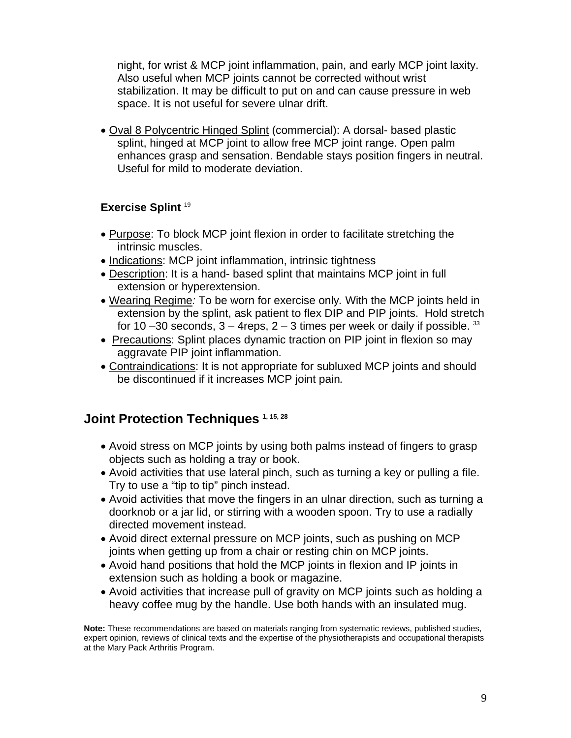night, for wrist & MCP joint inflammation, pain, and early MCP joint laxity. Also useful when MCP joints cannot be corrected without wrist stabilization. It may be difficult to put on and can cause pressure in web space. It is not useful for severe ulnar drift.

• Oval 8 Polycentric Hinged Splint (commercial): A dorsal- based plastic splint, hinged at MCP joint to allow free MCP joint range. Open palm enhances grasp and sensation. Bendable stays position fingers in neutral. Useful for mild to moderate deviation.

### **Exercise Splint** <sup>19</sup>

- Purpose: To block MCP joint flexion in order to facilitate stretching the intrinsic muscles.
- Indications: MCP joint inflammation, intrinsic tightness
- Description: It is a hand- based splint that maintains MCP joint in full extension or hyperextension.
- Wearing Regime*:* To be worn for exercise only*.* With the MCP joints held in extension by the splint, ask patient to flex DIP and PIP joints. Hold stretch for 10 –30 seconds,  $3 - 4$  reps,  $2 - 3$  times per week or daily if possible. <sup>33</sup>
- Precautions: Splint places dynamic traction on PIP joint in flexion so may aggravate PIP joint inflammation.
- Contraindications: It is not appropriate for subluxed MCP joints and should be discontinued if it increases MCP joint pain*.*

### **Joint Protection Techniques 1, 15, 28**

- Avoid stress on MCP joints by using both palms instead of fingers to grasp objects such as holding a tray or book.
- Avoid activities that use lateral pinch, such as turning a key or pulling a file. Try to use a "tip to tip" pinch instead.
- Avoid activities that move the fingers in an ulnar direction, such as turning a doorknob or a jar lid, or stirring with a wooden spoon. Try to use a radially directed movement instead.
- Avoid direct external pressure on MCP joints, such as pushing on MCP joints when getting up from a chair or resting chin on MCP joints.
- Avoid hand positions that hold the MCP joints in flexion and IP joints in extension such as holding a book or magazine.
- Avoid activities that increase pull of gravity on MCP joints such as holding a heavy coffee mug by the handle. Use both hands with an insulated mug.

**Note:** These recommendations are based on materials ranging from systematic reviews, published studies, expert opinion, reviews of clinical texts and the expertise of the physiotherapists and occupational therapists at the Mary Pack Arthritis Program.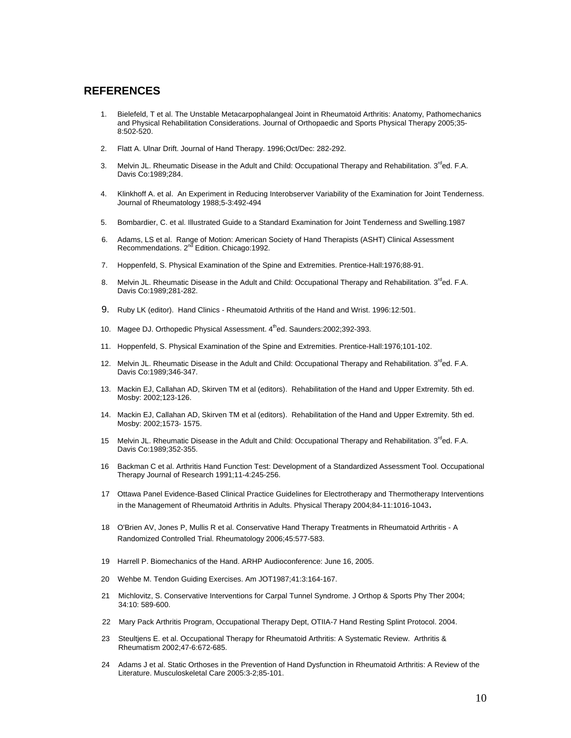#### **REFERENCES**

- 1. Bielefeld, T et al. The Unstable Metacarpophalangeal Joint in Rheumatoid Arthritis: Anatomy, Pathomechanics and Physical Rehabilitation Considerations. Journal of Orthopaedic and Sports Physical Therapy 2005;35- 8:502-520.
- 2. Flatt A. Ulnar Drift. Journal of Hand Therapy. 1996;Oct/Dec: 282-292.
- 3. Melvin JL. Rheumatic Disease in the Adult and Child: Occupational Therapy and Rehabilitation.  $3^{\text{rd}}$ ed. F.A. Davis Co:1989;284.
- 4. Klinkhoff A. et al. An Experiment in Reducing Interobserver Variability of the Examination for Joint Tenderness. Journal of Rheumatology 1988;5-3:492-494
- 5. Bombardier, C. et al. Illustrated Guide to a Standard Examination for Joint Tenderness and Swelling.1987
- 6. Adams, LS et al. Range of Motion: American Society of Hand Therapists (ASHT) Clinical Assessment Recommendations. 2<sup>nd</sup> Edition. Chicago: 1992.
- 7. Hoppenfeld, S. Physical Examination of the Spine and Extremities. Prentice-Hall:1976;88-91.
- 8. Melvin JL. Rheumatic Disease in the Adult and Child: Occupational Therapy and Rehabilitation. 3<sup>rd</sup>ed. F.A. Davis Co:1989;281-282.
- 9. Ruby LK (editor). Hand Clinics Rheumatoid Arthritis of the Hand and Wrist. 1996:12:501.
- 10. Magee DJ. Orthopedic Physical Assessment. 4thed. Saunders: 2002; 392-393.
- 11. Hoppenfeld, S. Physical Examination of the Spine and Extremities. Prentice-Hall:1976;101-102.
- 12. Melvin JL. Rheumatic Disease in the Adult and Child: Occupational Therapy and Rehabilitation. 3<sup>rd</sup>ed. F.A. Davis Co:1989;346-347.
- 13. Mackin EJ, Callahan AD, Skirven TM et al (editors). Rehabilitation of the Hand and Upper Extremity. 5th ed. Mosby: 2002;123-126.
- 14. Mackin EJ, Callahan AD, Skirven TM et al (editors). Rehabilitation of the Hand and Upper Extremity. 5th ed. Mosby: 2002;1573- 1575.
- 15 Melvin JL. Rheumatic Disease in the Adult and Child: Occupational Therapy and Rehabilitation. 3<sup>rd</sup>ed. F.A. Davis Co:1989;352-355.
- 16 Backman C et al. Arthritis Hand Function Test: Development of a Standardized Assessment Tool. Occupational Therapy Journal of Research 1991;11-4:245-256.
- 17 Ottawa Panel Evidence-Based Clinical Practice Guidelines for Electrotherapy and Thermotherapy Interventions in the Management of Rheumatoid Arthritis in Adults. Physical Therapy 2004;84-11:1016-1043.
- 18 O'Brien AV, Jones P, Mullis R et al. Conservative Hand Therapy Treatments in Rheumatoid Arthritis A Randomized Controlled Trial. Rheumatology 2006;45:577-583.
- 19 Harrell P. Biomechanics of the Hand. ARHP Audioconference: June 16, 2005.
- 20 Wehbe M. Tendon Guiding Exercises. Am JOT1987;41:3:164-167.
- 21 Michlovitz, S. Conservative Interventions for Carpal Tunnel Syndrome. J Orthop & Sports Phy Ther 2004; 34:10: 589-600.
- 22 Mary Pack Arthritis Program, Occupational Therapy Dept, OTIIA-7 Hand Resting Splint Protocol. 2004.
- 23 Steultjens E. et al. Occupational Therapy for Rheumatoid Arthritis: A Systematic Review. Arthritis & Rheumatism 2002;47-6:672-685.
- 24 Adams J et al. Static Orthoses in the Prevention of Hand Dysfunction in Rheumatoid Arthritis: A Review of the Literature. Musculoskeletal Care 2005:3-2;85-101.